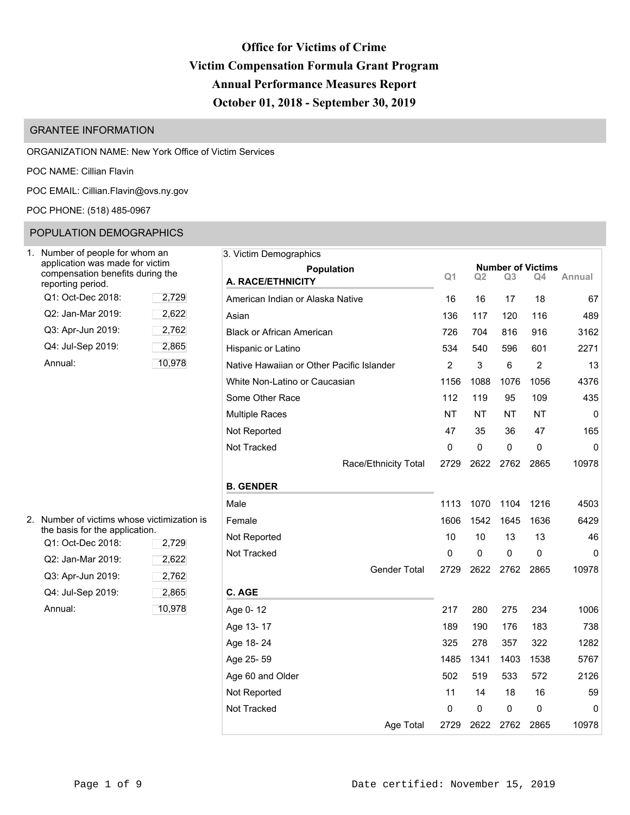# **Office for Victims of Crime Victim Compensation Formula Grant Program Annual Performance Measures Report October 01, 2018 - September 30, 2019**

# GRANTEE INFORMATION

### ORGANIZATION NAME: New York Office of Victim Services

POC NAME: Cillian Flavin

POC EMAIL: [Cillian.Flavin@ovs.ny.gov](mailto:Cillian.Flavin@ovs.ny.gov)

# POC PHONE: (518) 485-0967

# POPULATION DEMOGRAPHICS

| Number of people for whom an<br>application was made for victim<br>compensation benefits during the<br>reporting period. |        |
|--------------------------------------------------------------------------------------------------------------------------|--------|
| Q1: Oct-Dec 2018:                                                                                                        | 2,729  |
| Q2: Jan-Mar 2019:                                                                                                        | 2,622  |
| Q3: Apr-Jun 2019:                                                                                                        | 2,762  |
| Q4: Jul-Sep 2019:                                                                                                        | 2,865  |
| Annual:                                                                                                                  | 10,978 |

| 2. Number of victims whose victimization is<br>the basis for the application. | Female  |          |  |  |
|-------------------------------------------------------------------------------|---------|----------|--|--|
| Q1: Oct-Dec 2018:                                                             | Not Rep |          |  |  |
| Q2: Jan-Mar 2019:                                                             | 2,622   | Not Trac |  |  |
| Q3: Apr-Jun 2019:                                                             | 2,762   |          |  |  |
| Q4: Jul-Sep 2019:                                                             | 2,865   | C. AGE   |  |  |
| Annual:                                                                       | 10,978  | Age 0-1  |  |  |

| Number of people for whom an                                                            |        | 3. Victim Demographics                    |           |                |           |                |                                |             |
|-----------------------------------------------------------------------------------------|--------|-------------------------------------------|-----------|----------------|-----------|----------------|--------------------------------|-------------|
| application was made for victim<br>compensation benefits during the<br>eporting period. |        | <b>Population</b><br>A. RACE/ETHNICITY    |           | Q <sub>1</sub> | Q2        | Q <sub>3</sub> | <b>Number of Victims</b><br>Q4 | Annual      |
| Q1: Oct-Dec 2018:                                                                       | 2,729  | American Indian or Alaska Native          |           | 16             | 16        | 17             | 18                             | 67          |
| Q2: Jan-Mar 2019:                                                                       | 2,622  | Asian                                     |           | 136            | 117       | 120            | 116                            | 489         |
| Q3: Apr-Jun 2019:                                                                       | 2,762  | <b>Black or African American</b>          |           | 726            | 704       | 816            | 916                            | 3162        |
| Q4: Jul-Sep 2019:                                                                       | 2,865  | Hispanic or Latino                        |           | 534            | 540       | 596            | 601                            | 2271        |
| Annual:                                                                                 | 10,978 | Native Hawaiian or Other Pacific Islander |           | $\overline{2}$ | 3         | $6\phantom{1}$ | $\overline{2}$                 | 13          |
|                                                                                         |        | White Non-Latino or Caucasian             |           | 1156           | 1088      | 1076           | 1056                           | 4376        |
|                                                                                         |        | Some Other Race                           |           | 112            | 119       | 95             | 109                            | 435         |
|                                                                                         |        | <b>Multiple Races</b>                     |           | <b>NT</b>      | <b>NT</b> | <b>NT</b>      | <b>NT</b>                      | $\mathbf 0$ |
|                                                                                         |        | Not Reported                              |           | 47             | 35        | 36             | 47                             | 165         |
|                                                                                         |        | Not Tracked                               |           | $\mathbf{0}$   | $\pmb{0}$ | $\mathbf 0$    | 0                              | 0           |
|                                                                                         |        | Race/Ethnicity Total                      |           | 2729           | 2622      | 2762           | 2865                           | 10978       |
|                                                                                         |        | <b>B. GENDER</b>                          |           |                |           |                |                                |             |
|                                                                                         |        | Male                                      |           | 1113           | 1070      | 1104           | 1216                           | 4503        |
| Number of victims whose victimization is                                                |        | Female                                    |           | 1606           | 1542      | 1645           | 1636                           | 6429        |
| he basis for the application.<br>Q1: Oct-Dec 2018:                                      | 2,729  | Not Reported                              |           | 10             | 10        | 13             | 13                             | 46          |
| Q2: Jan-Mar 2019:                                                                       | 2,622  | Not Tracked                               |           | 0              | 0         | 0              | 0                              | 0           |
| Q3: Apr-Jun 2019:                                                                       | 2,762  | <b>Gender Total</b>                       |           | 2729           | 2622      | 2762           | 2865                           | 10978       |
| Q4: Jul-Sep 2019:                                                                       | 2,865  | C. AGE                                    |           |                |           |                |                                |             |
| Annual:                                                                                 | 10,978 | Age 0-12                                  |           | 217            | 280       | 275            | 234                            | 1006        |
|                                                                                         |        | Age 13-17                                 |           | 189            | 190       | 176            | 183                            | 738         |
|                                                                                         |        | Age 18-24                                 |           | 325            | 278       | 357            | 322                            | 1282        |
|                                                                                         |        | Age 25-59                                 |           | 1485           | 1341      | 1403           | 1538                           | 5767        |
|                                                                                         |        | Age 60 and Older                          |           | 502            | 519       | 533            | 572                            | 2126        |
|                                                                                         |        | Not Reported                              |           | 11             | 14        | 18             | 16                             | 59          |
|                                                                                         |        | Not Tracked                               |           | 0              | 0         | 0              | 0                              | 0           |
|                                                                                         |        |                                           | Age Total | 2729           | 2622      | 2762           | 2865                           | 10978       |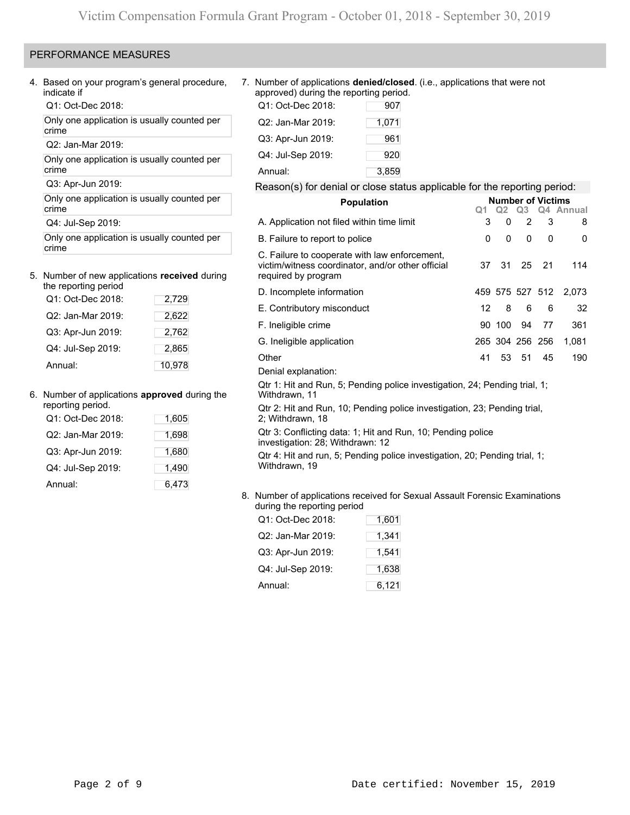### PERFORMANCE MEASURES

4. Based on your program's general procedure, indicate if

Q1: Oct-Dec 2018:

Only one application is usually counted per crime

Q2: Jan-Mar 2019:

Only one application is usually counted per crime

Q3: Apr-Jun 2019:

Only one application is usually counted per crime

Q4: Jul-Sep 2019:

Only one application is usually counted per crime

### 5. Number of new applications **received** during the reporting period

| rie reporting penog |        |
|---------------------|--------|
| Q1: Oct-Dec 2018:   | 2,729  |
| Q2: Jan-Mar 2019:   | 2,622  |
| Q3: Apr-Jun 2019:   | 2,762  |
| Q4: Jul-Sep 2019:   | 2,865  |
| Annual:             | 10.978 |

### 6. Number of applications **approved** during the

| reporting period. |       |
|-------------------|-------|
| Q1: Oct-Dec 2018: | 1,605 |
| Q2: Jan-Mar 2019: | 1,698 |
| Q3: Apr-Jun 2019: | 1,680 |
| Q4: Jul-Sep 2019: | 1,490 |
| Annual:           | 6,473 |

7. Number of applications **denied/closed**. (i.e., applications that were not approved) during the reporting period.

| Q1: Oct-Dec 2018: | 907   |
|-------------------|-------|
| Q2: Jan-Mar 2019: | 1,071 |
| Q3: Apr-Jun 2019: | 961   |
| Q4: Jul-Sep 2019: | 920   |
| Annual:           | 3,859 |

### Reason(s) for denial or close status applicable for the reporting period:

| <b>Population</b>                                                                                                         | Q <sub>1</sub> | Q2     | <b>Number of Victims</b><br>O <sub>3</sub> |     | Q4 Annual             |
|---------------------------------------------------------------------------------------------------------------------------|----------------|--------|--------------------------------------------|-----|-----------------------|
| A. Application not filed within time limit                                                                                | 3              | 0      | $\overline{2}$                             | 3   | 8                     |
| B. Failure to report to police                                                                                            | 0              | 0      | 0                                          | 0   | 0                     |
| C. Failure to cooperate with law enforcement,<br>victim/witness coordinator, and/or other official<br>required by program | 37             | 31     | 25                                         | -21 | 114                   |
| D. Incomplete information                                                                                                 |                |        |                                            |     | 459 575 527 512 2,073 |
| E. Contributory misconduct                                                                                                | 12             | 8      | 6                                          | 6   | 32                    |
| F. Ineligible crime                                                                                                       |                | 90 100 | 94                                         | 77  | 361                   |
| G. Ineligible application                                                                                                 |                |        | 265 304 256 256                            |     | 1,081                 |
| Other                                                                                                                     | 41             |        | 53 51                                      | 45  | 190                   |
| Denial explanation:                                                                                                       |                |        |                                            |     |                       |
| Qtr 1: Hit and Run, 5; Pending police investigation, 24; Pending trial, 1;<br>Withdrawn, 11                               |                |        |                                            |     |                       |
| Qtr 2: Hit and Run, 10; Pending police investigation, 23; Pending trial,<br>2; Withdrawn, 18                              |                |        |                                            |     |                       |
| Qtr 3: Conflicting data: 1; Hit and Run, 10; Pending police<br>investigation: 28; Withdrawn: 12                           |                |        |                                            |     |                       |
| Qtr 4: Hit and run, 5; Pending police investigation, 20; Pending trial, 1;                                                |                |        |                                            |     |                       |

### 8. Number of applications received for Sexual Assault Forensic Examinations during the reporting period

| Q1: Oct-Dec 2018: | 1,601 |
|-------------------|-------|
| Q2: Jan-Mar 2019: | 1,341 |
| Q3: Apr-Jun 2019: | 1,541 |
| Q4: Jul-Sep 2019: | 1,638 |
| Annual:           | 6,121 |

Withdrawn, 19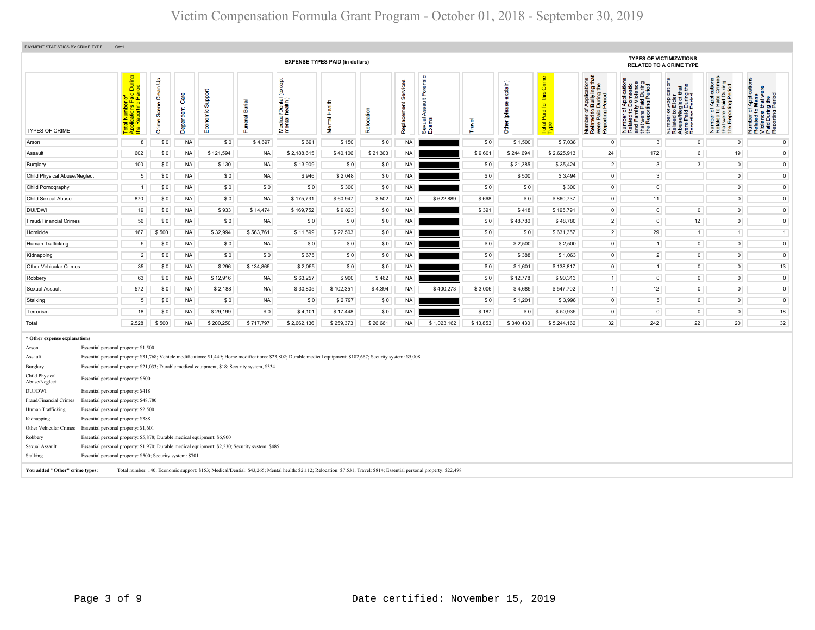| PAYMENT STATISTICS BY CRIME TYPE                                                                           | Qtr:1                                                                                                                                                                                                              |                                                                                                      |                                    |                   |                     |                       |                                                                                                                                                                     |                         |            |                       |                                                              |          |                                 |                                                    |                                                                                                                                  |                                                                                            |                                                                                                                                                             |                                                                                                                            |                                                                                                      |
|------------------------------------------------------------------------------------------------------------|--------------------------------------------------------------------------------------------------------------------------------------------------------------------------------------------------------------------|------------------------------------------------------------------------------------------------------|------------------------------------|-------------------|---------------------|-----------------------|---------------------------------------------------------------------------------------------------------------------------------------------------------------------|-------------------------|------------|-----------------------|--------------------------------------------------------------|----------|---------------------------------|----------------------------------------------------|----------------------------------------------------------------------------------------------------------------------------------|--------------------------------------------------------------------------------------------|-------------------------------------------------------------------------------------------------------------------------------------------------------------|----------------------------------------------------------------------------------------------------------------------------|------------------------------------------------------------------------------------------------------|
|                                                                                                            | <b>TYPES OF VICTIMIZATIONS</b><br><b>EXPENSE TYPES PAID (in dollars)</b><br><b>RELATED TO A CRIME TYPE</b>                                                                                                         |                                                                                                      |                                    |                   |                     |                       |                                                                                                                                                                     |                         |            |                       |                                                              |          |                                 |                                                    |                                                                                                                                  |                                                                                            |                                                                                                                                                             |                                                                                                                            |                                                                                                      |
| <b>TYPES OF CRIME</b>                                                                                      |                                                                                                                                                                                                                    | During<br>iod<br>tal Number of<br>plications Paid I<br>• Reporting Peric<br>ź.<br>$rac{1}{\sqrt{2}}$ | Clean Up<br>உ<br><b>S</b><br>Crime | Care<br>Dependent | Support<br>Economic | eral Burial<br>S<br>Æ | $\breve{\mathbf{e}}$<br>Medical/Dental (<br>mental health)                                                                                                          | Health<br><b>Mental</b> | Relocation | Servic<br>Replacement | Forensic<br>$\frac{4}{10}$<br><b>Ass</b><br>Sexual.<br>Exams | Travel   | explain)<br>8<br>(plea<br>Other | Crime<br>this<br><u>ō</u><br>Paid<br>Total<br>Type | rf Applications<br>b Bullying that<br>Period<br>Period<br>ber of<br>Paid<br>Thing F<br>Number<br>Related<br>were Pai<br>Reportin | Paid<br>ting F<br>ಕಿ ಕಿ<br>59<br>I Family<br>Lwere F<br>Reporti<br>Number<br>Related<br>Ë£ | <b>¤€</b><br>glect th<br>During<br>Period<br>⋖ш<br><u>이 이 후 및</u> E<br>ទីនិទី<br>$\overline{2}$ $\overline{2}$ $\overline{4}$ $\overline{3}$ $\overline{4}$ | cations<br>Crime:<br>Paid During<br>ting Period<br>Appli<br>Hate<br>59<br>twere<br>Number<br>Related t<br>the <sup>1</sup> | Ĕ<br>Appli<br>Mass<br>£ തഥ്<br>Number of<br>Related to I<br>Violence t<br>Paid During<br>Reporting F |
| Arson                                                                                                      |                                                                                                                                                                                                                    | 8                                                                                                    | \$0                                | <b>NA</b>         | \$0                 | \$4,697               | \$691                                                                                                                                                               | \$150                   | \$0        | <b>NA</b>             |                                                              | \$0      | \$1,500                         | \$7,038                                            | $\circ$                                                                                                                          | $\mathbf{3}$                                                                               | $\overline{0}$                                                                                                                                              | $\circ$                                                                                                                    | $\circ$                                                                                              |
| Assault                                                                                                    |                                                                                                                                                                                                                    | 602                                                                                                  | \$0                                | <b>NA</b>         | \$121,594           | <b>NA</b>             | \$2,188,615                                                                                                                                                         | \$40,106                | \$21,303   | <b>NA</b>             |                                                              | \$9,601  | \$244,694                       | \$2,625,913                                        | 24                                                                                                                               | 172                                                                                        | $6\phantom{a}$                                                                                                                                              | 19                                                                                                                         | $\overline{0}$                                                                                       |
| Burglary                                                                                                   |                                                                                                                                                                                                                    | 100                                                                                                  | \$0                                | <b>NA</b>         | \$130               | <b>NA</b>             | \$13,909                                                                                                                                                            | \$0                     | \$0        | <b>NA</b>             |                                                              | \$0      | \$21,385                        | \$35,424                                           | $\overline{2}$                                                                                                                   | $\overline{\mathbf{3}}$                                                                    | $\mathbf{3}$                                                                                                                                                | $\overline{0}$                                                                                                             | $\overline{0}$                                                                                       |
| Child Physical Abuse/Neglect                                                                               |                                                                                                                                                                                                                    | 5                                                                                                    | \$0                                | <b>NA</b>         | \$0                 | <b>NA</b>             | \$946                                                                                                                                                               | \$2,048                 | \$0        | <b>NA</b>             |                                                              | \$0      | \$500                           | \$3,494                                            | $\circ$                                                                                                                          | $\overline{\mathbf{3}}$                                                                    |                                                                                                                                                             | $\overline{0}$                                                                                                             | $\circ$                                                                                              |
| Child Pornography                                                                                          |                                                                                                                                                                                                                    | $\overline{1}$                                                                                       | \$0                                | <b>NA</b>         | \$0                 | \$0                   | \$0                                                                                                                                                                 | \$300                   | \$0        | <b>NA</b>             |                                                              | \$0      | \$0                             | \$300                                              | $\overline{0}$                                                                                                                   | $\circ$                                                                                    |                                                                                                                                                             | $\mathbf 0$                                                                                                                | $\bullet$                                                                                            |
| Child Sexual Abuse                                                                                         |                                                                                                                                                                                                                    | 870                                                                                                  | \$0                                | <b>NA</b>         | \$0                 | <b>NA</b>             | \$175,731                                                                                                                                                           | \$60,947                | \$502      | <b>NA</b>             | \$622,889                                                    | \$668    | \$0                             | \$860,737                                          | $\circ$                                                                                                                          | 11                                                                                         |                                                                                                                                                             | $\overline{0}$                                                                                                             | $\overline{0}$                                                                                       |
| <b>DUI/DWI</b>                                                                                             |                                                                                                                                                                                                                    | 19                                                                                                   | \$0                                | <b>NA</b>         | \$933               | \$14,474              | \$169,752                                                                                                                                                           | \$9,823                 | \$0        | <b>NA</b>             |                                                              | \$391    | \$418                           | \$195,791                                          | $\overline{0}$                                                                                                                   | $\overline{0}$                                                                             | $\overline{0}$                                                                                                                                              | $\overline{0}$                                                                                                             | $\circ$                                                                                              |
| Fraud/Financial Crimes                                                                                     |                                                                                                                                                                                                                    | 56                                                                                                   | \$0                                | <b>NA</b>         | \$0                 | <b>NA</b>             | \$0                                                                                                                                                                 | \$0                     | \$0        | <b>NA</b>             |                                                              | \$0      | \$48,780                        | \$48,780                                           | $\overline{2}$                                                                                                                   | $\overline{\mathbf{0}}$                                                                    | 12                                                                                                                                                          | $\circ$                                                                                                                    | $\circ$                                                                                              |
| Homicide                                                                                                   |                                                                                                                                                                                                                    | 167                                                                                                  | \$500                              | <b>NA</b>         | \$32,994            | \$563,761             | \$11,599                                                                                                                                                            | \$22,503                | \$0        | <b>NA</b>             |                                                              | \$0      | \$0                             | \$631,357                                          | $\overline{2}$                                                                                                                   | 29                                                                                         | $\mathbf{1}$                                                                                                                                                | $\overline{1}$                                                                                                             | 1                                                                                                    |
| Human Trafficking                                                                                          |                                                                                                                                                                                                                    | 5                                                                                                    | \$0                                | <b>NA</b>         | \$0                 | <b>NA</b>             | \$0                                                                                                                                                                 | \$0                     | \$0        | <b>NA</b>             |                                                              | \$0      | \$2,500                         | \$2,500                                            | $\circ$                                                                                                                          | $\mathbf{1}$                                                                               | $\mathbf 0$                                                                                                                                                 | $\overline{0}$                                                                                                             | $\circ$                                                                                              |
| Kidnapping                                                                                                 |                                                                                                                                                                                                                    | $\overline{2}$                                                                                       | \$0                                | <b>NA</b>         | \$0                 | \$0                   | \$675                                                                                                                                                               | \$0                     | \$0        | <b>NA</b>             |                                                              | \$0      | \$388                           | \$1,063                                            | $\overline{0}$                                                                                                                   | $\overline{2}$                                                                             | $\circ$                                                                                                                                                     | $\circ$                                                                                                                    | $\circ$                                                                                              |
| <b>Other Vehicular Crimes</b>                                                                              |                                                                                                                                                                                                                    | 35                                                                                                   | \$0                                | <b>NA</b>         | \$296               | \$134,865             | \$2,055                                                                                                                                                             | \$0                     | \$0        | <b>NA</b>             |                                                              | \$0      | \$1,601                         | \$138,817                                          | $\mathbf 0$                                                                                                                      | $\mathbf{1}$                                                                               | $\overline{0}$                                                                                                                                              | $\overline{0}$                                                                                                             | 13                                                                                                   |
| Robbery                                                                                                    |                                                                                                                                                                                                                    | 63                                                                                                   | \$0                                | <b>NA</b>         | \$12,916            | <b>NA</b>             | \$63,257                                                                                                                                                            | \$900                   | \$462      | <b>NA</b>             |                                                              | \$0      | \$12,778                        | \$90,313                                           | 1                                                                                                                                | $\overline{0}$                                                                             | $\overline{0}$                                                                                                                                              | $\overline{0}$                                                                                                             | $\overline{0}$                                                                                       |
| Sexual Assault                                                                                             |                                                                                                                                                                                                                    | 572                                                                                                  | \$0                                | <b>NA</b>         | \$2,188             | <b>NA</b>             | \$30,805                                                                                                                                                            | \$102,351               | \$4,394    | <b>NA</b>             | \$400,273                                                    | \$3,006  | \$4,685                         | \$547,702                                          | 1                                                                                                                                | 12                                                                                         | $\circ$                                                                                                                                                     | $\mathbf{0}$                                                                                                               | $\circ$                                                                                              |
| Stalking                                                                                                   |                                                                                                                                                                                                                    | 5                                                                                                    | \$0                                | <b>NA</b>         | \$0                 | <b>NA</b>             | \$0                                                                                                                                                                 | \$2,797                 | \$0        | <b>NA</b>             |                                                              | \$0      | \$1,201                         | \$3,998                                            | $\mathbf 0$                                                                                                                      | 5                                                                                          | $\overline{0}$                                                                                                                                              | $\overline{0}$                                                                                                             | $\circ$                                                                                              |
| Terrorism                                                                                                  |                                                                                                                                                                                                                    | 18                                                                                                   | \$0                                | <b>NA</b>         | \$29,199            | \$0                   | \$4,101                                                                                                                                                             | \$17,448                | \$0        | <b>NA</b>             |                                                              | \$187    | \$0                             | \$50,935                                           | $\circ$                                                                                                                          | $\overline{0}$                                                                             | $\overline{0}$                                                                                                                                              | $\overline{0}$                                                                                                             | 18                                                                                                   |
| Total                                                                                                      |                                                                                                                                                                                                                    | 2,528                                                                                                | \$500                              | <b>NA</b>         | \$200,250           | \$717,797             | \$2,662,136                                                                                                                                                         | \$259,373               | \$26,661   | <b>NA</b>             | \$1,023,162                                                  | \$13,853 | \$340,430                       | \$5,244,162                                        | 32 <sup>2</sup>                                                                                                                  | 242                                                                                        | 22                                                                                                                                                          | 20                                                                                                                         | 32                                                                                                   |
| * Other expense explanations<br>Arson<br>Assault<br>Burglary<br>Child Physical<br>Abuse/Neglect<br>DUI/DWI | Essential personal property: \$1,500<br>Essential personal property: \$21,033; Durable medical equipment, \$18; Security system, \$334<br>Essential personal property: \$500<br>Essential personal property: \$418 |                                                                                                      |                                    |                   |                     |                       | Essential personal property: \$31,768; Vehicle modifications: \$1,449; Home modifications: \$23,802; Durable medical equipment: \$182,667; Security system: \$5,008 |                         |            |                       |                                                              |          |                                 |                                                    |                                                                                                                                  |                                                                                            |                                                                                                                                                             |                                                                                                                            |                                                                                                      |
| Fraud/Financial Crimes                                                                                     | Essential personal property: \$48,780                                                                                                                                                                              |                                                                                                      |                                    |                   |                     |                       |                                                                                                                                                                     |                         |            |                       |                                                              |          |                                 |                                                    |                                                                                                                                  |                                                                                            |                                                                                                                                                             |                                                                                                                            |                                                                                                      |

| Fraud/Financial Crimes Essential personal property: \$48,780                                                                                                                                                                   |  |
|--------------------------------------------------------------------------------------------------------------------------------------------------------------------------------------------------------------------------------|--|
|                                                                                                                                                                                                                                |  |
| Human Trafficking<br>Essential personal property: \$2,500                                                                                                                                                                      |  |
| Kidnapping<br>Essential personal property: \$388                                                                                                                                                                               |  |
| Other Vehicular Crimes Essential personal property: \$1,601                                                                                                                                                                    |  |
| Robbery<br>Essential personal property: \$5,878; Durable medical equipment: \$6,900                                                                                                                                            |  |
| Sexual Assault<br>Essential personal property: \$1,970; Durable medical equipment: \$2,230; Security system: \$485                                                                                                             |  |
| Stalking<br>Essential personal property: \$500; Security system: \$701                                                                                                                                                         |  |
| THE TRIANGER RESERVED TO THE RESERVED OF A RELEASED FOR A STRUCK CONTINUES. THE RELEASED OF THE RELEASED OF THE RELEASED OF THE RELEASED OF THE RELEASED OF THE RELEASED OF THE RELEASED OF THE RELEASED OF THE RELEASED OF TH |  |

**You added "Other" crime types:** Total number: 140; Economic support: \$153; Medical/Dential: \$43,265; Mental health: \$2,112; Relocation: \$7,531; Travel: \$814; Essential personal property: \$22,498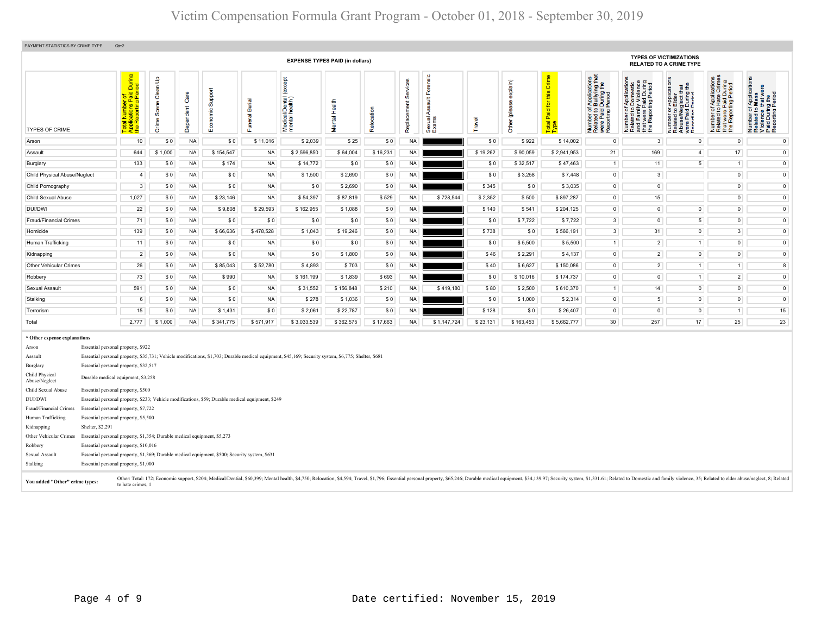| PAYMENT STATISTICS BY CRIME TYPE                                                                | Qtr:2                                                                                                                                                                                                                                                                     |                                     |                   |                       |                                 |                                              |               |            |                         |                                  |          |                               |                                                                  |                                                                                                                                                 |                                                                                                                 |                                                                                                                                        |                                                                                                                                            |                                                                                                                                            |
|-------------------------------------------------------------------------------------------------|---------------------------------------------------------------------------------------------------------------------------------------------------------------------------------------------------------------------------------------------------------------------------|-------------------------------------|-------------------|-----------------------|---------------------------------|----------------------------------------------|---------------|------------|-------------------------|----------------------------------|----------|-------------------------------|------------------------------------------------------------------|-------------------------------------------------------------------------------------------------------------------------------------------------|-----------------------------------------------------------------------------------------------------------------|----------------------------------------------------------------------------------------------------------------------------------------|--------------------------------------------------------------------------------------------------------------------------------------------|--------------------------------------------------------------------------------------------------------------------------------------------|
|                                                                                                 | <b>TYPES OF VICTIMIZATIONS</b><br><b>EXPENSE TYPES PAID (in dollars)</b><br><b>RELATED TO A CRIME TYPE</b>                                                                                                                                                                |                                     |                   |                       |                                 |                                              |               |            |                         |                                  |          |                               |                                                                  |                                                                                                                                                 |                                                                                                                 |                                                                                                                                        |                                                                                                                                            |                                                                                                                                            |
| <b>TYPES OF CRIME</b>                                                                           | During<br>iod<br>Total Number of<br>Applications Paid L<br>the Reporting Peric                                                                                                                                                                                            | an Up<br>ငီ<br>ၜႍ<br>Sœ<br>ime<br>ŏ | Care<br>Dependent | Suppo<br>$\circ$<br>ŵ | Burial<br>uneral <b>k</b><br>ű. | except<br>Medical/Dental (<br>mental health) | Mental Health | Relocation | Services<br>Replacement | orensic<br>∢<br>Sexual,<br>Exams | Travel   | explain)<br>ق<br><b>Other</b> | Grim<br>this<br>$\overline{\mathbf{p}}$<br>Paid<br>Total<br>Type | f Applications<br>b Bullying that<br>I During the<br>Period<br>per of<br>Paid<br>Thing<br>Thing F<br>Number<br>Related<br>were Pai<br>Reporting | ă<br>Number of Applicat<br>Related to Domest<br>and Family Violen<br>that were Paid Duri<br>the Reporting Perio | T Application<br>LElder<br>glect that<br>During the<br>Period<br>Number of<br>Related to I<br>Abuse/Neg<br>were Paid II<br>Renorting P | plications<br>te Crimes<br>Period<br>Period<br>a pig<br>Hate<br>Paid D<br>ing<br>$5.2 - 5$<br>Number<br>Related t<br>that were<br>the Repo | Applications<br>Mass<br>$\mathbf{\overline{c}}$<br>≒ ഉമ്<br>59<br>nce<br>During<br>Number<br>Related 1<br>Violence<br>Paid Dur<br>Reportin |
| Arson                                                                                           | 10                                                                                                                                                                                                                                                                        | \$0                                 | <b>NA</b>         | \$0                   | \$11,016                        | \$2,039                                      | \$25          | \$0        | <b>NA</b>               |                                  | \$0      | \$922                         | \$14,002                                                         | $\circ$                                                                                                                                         | $\mathbf{3}$                                                                                                    | $\circ$                                                                                                                                | $\circ$                                                                                                                                    | $\circ$                                                                                                                                    |
| Assault                                                                                         | 644                                                                                                                                                                                                                                                                       | \$1,000                             | <b>NA</b>         | \$154,547             | <b>NA</b>                       | \$2,596,850                                  | \$64,004      | \$16,231   | <b>NA</b>               |                                  | \$19,262 | \$90,059                      | \$2,941,953                                                      | 21                                                                                                                                              | 169                                                                                                             | 4 <sup>1</sup>                                                                                                                         | 17                                                                                                                                         | $\circ$                                                                                                                                    |
| Burglary                                                                                        | 133                                                                                                                                                                                                                                                                       | \$0                                 | <b>NA</b>         | \$174                 | <b>NA</b>                       | \$14,772                                     | \$0           | \$0        | <b>NA</b>               |                                  | \$0      | \$32,517                      | \$47,463                                                         | $\overline{1}$                                                                                                                                  | 11                                                                                                              | 5 <sub>1</sub>                                                                                                                         | $\overline{1}$                                                                                                                             | $\mathsf{O}$                                                                                                                               |
| Child Physical Abuse/Neglect                                                                    | $\overline{4}$                                                                                                                                                                                                                                                            | \$0                                 | <b>NA</b>         | \$0                   | <b>NA</b>                       | \$1,500                                      | \$2,690       | \$0        | <b>NA</b>               |                                  | \$0      | \$3,258                       | \$7,448                                                          | $\circ$                                                                                                                                         | 3 <sup>1</sup>                                                                                                  |                                                                                                                                        | $\mathbf 0$                                                                                                                                | $\circ$                                                                                                                                    |
| Child Pornography                                                                               | $\mathbf{3}$                                                                                                                                                                                                                                                              | \$0                                 | <b>NA</b>         | \$0                   | <b>NA</b>                       | \$0                                          | \$2,690       | \$0        | <b>NA</b>               |                                  | \$345    | \$0                           | \$3,035                                                          | $\circ$                                                                                                                                         | $\overline{0}$                                                                                                  |                                                                                                                                        | $\circ$                                                                                                                                    | $\mathsf{O}$                                                                                                                               |
| Child Sexual Abuse                                                                              | 1,027                                                                                                                                                                                                                                                                     | \$0                                 | <b>NA</b>         | \$23,146              | <b>NA</b>                       | \$54,397                                     | \$87,819      | \$529      | <b>NA</b>               | \$728,544                        | \$2,352  | \$500                         | \$897,287                                                        | $\overline{0}$                                                                                                                                  | 15                                                                                                              |                                                                                                                                        | $\overline{0}$                                                                                                                             | $\mathsf{O}$                                                                                                                               |
| DUI/DWI                                                                                         | 22                                                                                                                                                                                                                                                                        | \$0                                 | <b>NA</b>         | \$9,808               | \$29,593                        | \$162,955                                    | \$1,088       | \$0        | NA                      |                                  | \$140    | \$541                         | \$204,125                                                        | $\circ$                                                                                                                                         | $\overline{0}$                                                                                                  | $\overline{0}$                                                                                                                         | $\circ$                                                                                                                                    | $\mathsf{O}\xspace$                                                                                                                        |
| Fraud/Financial Crimes                                                                          | 71                                                                                                                                                                                                                                                                        | \$0                                 | <b>NA</b>         | \$0                   | \$0                             | \$0                                          | \$0           | \$0        | <b>NA</b>               |                                  | \$0      | \$7,722                       | \$7,722                                                          | $\overline{3}$                                                                                                                                  | $\overline{0}$                                                                                                  | 5 <sup>1</sup>                                                                                                                         | $\overline{0}$                                                                                                                             | $\circ$                                                                                                                                    |
| Homicide                                                                                        | 139                                                                                                                                                                                                                                                                       | \$0                                 | <b>NA</b>         | \$66,636              | \$478,528                       | \$1,043                                      | \$19,246      | \$0        | <b>NA</b>               |                                  | \$738    | \$0                           | \$566,191                                                        | $\overline{\mathbf{3}}$                                                                                                                         | 31                                                                                                              | $\overline{0}$                                                                                                                         | 3                                                                                                                                          | $\mathsf{O}$                                                                                                                               |
| Human Trafficking                                                                               | 11                                                                                                                                                                                                                                                                        | \$0                                 | <b>NA</b>         | \$0                   | <b>NA</b>                       | \$0                                          | \$0           | \$0        | <b>NA</b>               |                                  | \$0      | \$5,500                       | \$5,500                                                          | $\mathbf{1}$                                                                                                                                    | $2^{\circ}$                                                                                                     | 1                                                                                                                                      | $\circ$                                                                                                                                    | $\circ$                                                                                                                                    |
| Kidnapping                                                                                      | $\overline{2}$                                                                                                                                                                                                                                                            | \$0                                 | <b>NA</b>         | \$0                   | <b>NA</b>                       | \$0                                          | \$1,800       | \$0        | <b>NA</b>               |                                  | \$46     | \$2,291                       | \$4,137                                                          | $\circ$                                                                                                                                         | 2                                                                                                               | $\overline{0}$                                                                                                                         | $\overline{0}$                                                                                                                             | $\circ$                                                                                                                                    |
| <b>Other Vehicular Crimes</b>                                                                   | 26                                                                                                                                                                                                                                                                        | \$0                                 | <b>NA</b>         | \$85,043              | \$52,780                        | \$4,893                                      | \$703         | \$0        | <b>NA</b>               |                                  | \$40     | \$6,627                       | \$150,086                                                        | $\overline{0}$                                                                                                                                  | $2^{\circ}$                                                                                                     | 1                                                                                                                                      | 1                                                                                                                                          | $\boldsymbol{8}$                                                                                                                           |
| Robbery                                                                                         | 73                                                                                                                                                                                                                                                                        | \$0                                 | <b>NA</b>         | \$990                 | <b>NA</b>                       | \$161,199                                    | \$1,839       | \$693      | NA                      |                                  | \$0      | \$10,016                      | \$174,737                                                        | $\circ$                                                                                                                                         | $\overline{0}$                                                                                                  | 1                                                                                                                                      | 2                                                                                                                                          | $\circ$                                                                                                                                    |
| Sexual Assault                                                                                  | 591                                                                                                                                                                                                                                                                       | \$0                                 | <b>NA</b>         | \$0                   | <b>NA</b>                       | \$31,552                                     | \$156,848     | \$210      | <b>NA</b>               | \$419,180                        | \$80     | \$2,500                       | \$610,370                                                        | $\mathbf{1}$                                                                                                                                    | 14                                                                                                              | $\overline{0}$                                                                                                                         | $\circ$                                                                                                                                    | $\mathsf{O}$                                                                                                                               |
| Stalking                                                                                        | 6                                                                                                                                                                                                                                                                         | \$0                                 | <b>NA</b>         | \$0                   | <b>NA</b>                       | \$278                                        | \$1,036       | \$0        | <b>NA</b>               |                                  | \$0      | \$1,000                       | \$2,314                                                          | $\circ$                                                                                                                                         | 5 <sub>1</sub>                                                                                                  | $\overline{0}$                                                                                                                         | $\overline{0}$                                                                                                                             | $\mathsf{O}$                                                                                                                               |
| Terrorism                                                                                       | 15                                                                                                                                                                                                                                                                        | \$0                                 | <b>NA</b>         | \$1,431               | \$0                             | \$2,061                                      | \$22,787      | \$0        | <b>NA</b>               |                                  | \$128    | \$0                           | \$26,407                                                         | $\mathsf 0$                                                                                                                                     | $\overline{0}$                                                                                                  | $\overline{0}$                                                                                                                         | 1                                                                                                                                          | 15                                                                                                                                         |
| Total                                                                                           | 2,777                                                                                                                                                                                                                                                                     | \$1,000                             | <b>NA</b>         | \$341,775             | \$571,917                       | \$3,033,539                                  | \$362,575     | \$17,663   | <b>NA</b>               | \$1,147,724                      | \$23,131 | \$163,453                     | \$5,662,777                                                      | 30 <sup>°</sup>                                                                                                                                 | 257                                                                                                             | 17                                                                                                                                     | 25                                                                                                                                         | 23                                                                                                                                         |
| * Other expense explanations<br>Arson<br>Assault<br>Burglary<br>Child Physical<br>Abuse/Neglect | Essential personal property, \$922<br>Essential personal property, \$35,731; Vehicle modifications, \$1,703; Durable medical equipment, \$45,169; Security system, \$6,775; Shelter, \$681<br>Essential personal property, \$32,517<br>Durable medical equipment, \$3,258 |                                     |                   |                       |                                 |                                              |               |            |                         |                                  |          |                               |                                                                  |                                                                                                                                                 |                                                                                                                 |                                                                                                                                        |                                                                                                                                            |                                                                                                                                            |

| Child Physical<br>Abuse/Neglect | Durable medical equipment, \$3,258                                                             |                                                                                                                                                                                                                                                           |  |  |  |  |  |  |  |  |  |  |  |
|---------------------------------|------------------------------------------------------------------------------------------------|-----------------------------------------------------------------------------------------------------------------------------------------------------------------------------------------------------------------------------------------------------------|--|--|--|--|--|--|--|--|--|--|--|
| Child Sexual Abuse              | Essential personal property, \$500                                                             |                                                                                                                                                                                                                                                           |  |  |  |  |  |  |  |  |  |  |  |
| DUI/DWI                         |                                                                                                | Essential personal property, \$233; Vehicle modifications, \$59; Durable medical equipment, \$249                                                                                                                                                         |  |  |  |  |  |  |  |  |  |  |  |
| Fraud/Financial Crimes          | Essential personal property, \$7,722                                                           |                                                                                                                                                                                                                                                           |  |  |  |  |  |  |  |  |  |  |  |
| Human Trafficking               | Essential personal property, \$5,500                                                           |                                                                                                                                                                                                                                                           |  |  |  |  |  |  |  |  |  |  |  |
| Kidnapping                      | Shelter, \$2,291                                                                               |                                                                                                                                                                                                                                                           |  |  |  |  |  |  |  |  |  |  |  |
| Other Vehicular Crimes          | Essential personal property, \$1,354; Durable medical equipment, \$5,273                       |                                                                                                                                                                                                                                                           |  |  |  |  |  |  |  |  |  |  |  |
| Robbery                         |                                                                                                | Essential personal property, \$10,016                                                                                                                                                                                                                     |  |  |  |  |  |  |  |  |  |  |  |
| Sexual Assault                  | Essential personal property, \$1,369; Durable medical equipment, \$500; Security system, \$631 |                                                                                                                                                                                                                                                           |  |  |  |  |  |  |  |  |  |  |  |
| Stalking                        |                                                                                                | Essential personal property, \$1,000                                                                                                                                                                                                                      |  |  |  |  |  |  |  |  |  |  |  |
| You added "Other" crime types:  |                                                                                                | Other: Total: 172; Economic support, \$204; Medical/Dential, \$60,399; Mental health, \$4,750; Relocation, \$4,594; Travel, \$1,796; Essential personal property, \$65,246; Durable medical equipment, \$34,139.97; Security system,<br>to hate crimes, 1 |  |  |  |  |  |  |  |  |  |  |  |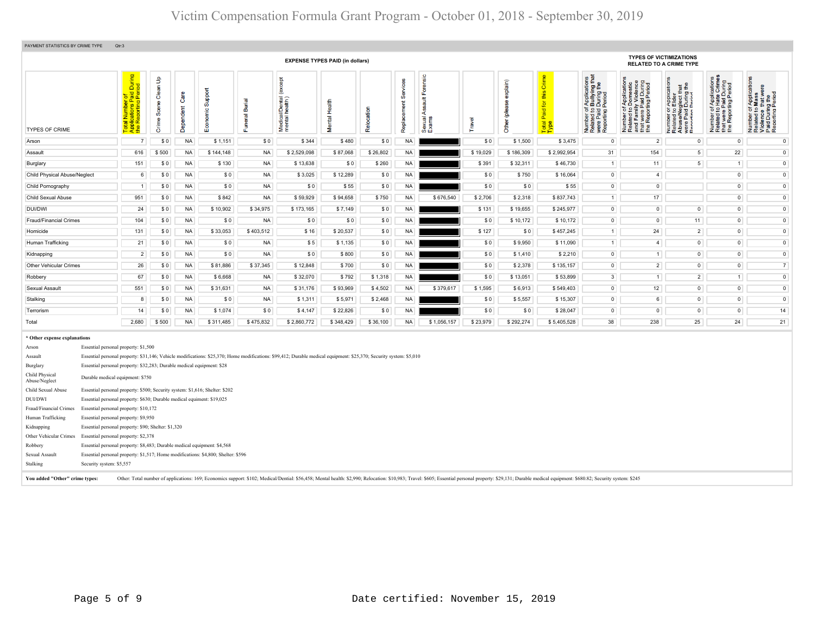| PAYMENT STATISTICS BY CRIME TYPE                                                                                                                                                                                                                                                                                                                                                                                                                                                                                                                                                                                                                                                                                                                                                                                                                                                                                                                                                                                                                                                                                                     | Qtr:3                                                                                     |                           |                   |                    |                    |                                             |                         |            |                         |                                                            |                                                                  |                           |                                            |                                                                                                                                           |                                                                                                                     |                                                                                                                                            |                                                                                                                                     |                                                                                                                                      |
|--------------------------------------------------------------------------------------------------------------------------------------------------------------------------------------------------------------------------------------------------------------------------------------------------------------------------------------------------------------------------------------------------------------------------------------------------------------------------------------------------------------------------------------------------------------------------------------------------------------------------------------------------------------------------------------------------------------------------------------------------------------------------------------------------------------------------------------------------------------------------------------------------------------------------------------------------------------------------------------------------------------------------------------------------------------------------------------------------------------------------------------|-------------------------------------------------------------------------------------------|---------------------------|-------------------|--------------------|--------------------|---------------------------------------------|-------------------------|------------|-------------------------|------------------------------------------------------------|------------------------------------------------------------------|---------------------------|--------------------------------------------|-------------------------------------------------------------------------------------------------------------------------------------------|---------------------------------------------------------------------------------------------------------------------|--------------------------------------------------------------------------------------------------------------------------------------------|-------------------------------------------------------------------------------------------------------------------------------------|--------------------------------------------------------------------------------------------------------------------------------------|
|                                                                                                                                                                                                                                                                                                                                                                                                                                                                                                                                                                                                                                                                                                                                                                                                                                                                                                                                                                                                                                                                                                                                      | <b>EXPENSE TYPES PAID (in dollars)</b>                                                    |                           |                   |                    |                    |                                             |                         |            |                         |                                                            | <b>TYPES OF VICTIMIZATIONS</b><br><b>RELATED TO A CRIME TYPE</b> |                           |                                            |                                                                                                                                           |                                                                                                                     |                                                                                                                                            |                                                                                                                                     |                                                                                                                                      |
| <b>TYPES OF CRIME</b>                                                                                                                                                                                                                                                                                                                                                                                                                                                                                                                                                                                                                                                                                                                                                                                                                                                                                                                                                                                                                                                                                                                | tal Number of<br>plications Paid During<br>∍ Reporting Period<br>Total<br>Applic<br>the R | Clean Up<br>Sœne<br>Crime | Care<br>Dependent | Support<br>ήē<br>ш | uneral Burial<br>Œ | (except<br>Medical/Dental<br>mental health) | Health<br><b>Mental</b> | Relocation | Services<br>Replacement | Forensic<br><b>Assault</b><br>Sexual <sub>/</sub><br>Exams | Travel                                                           | explain)<br>Other (please | Crime<br>this<br>Paid for t<br><b>otal</b> | of Applications<br>b Bullying that<br>1 During the<br>I Period<br>Number of <i>I</i><br>Related to <b>B</b><br>were Paid L<br>Reporting P | ă۵<br>iya<br>Paig<br>ting<br>282<br>ு<br>: 5 °،<br>Έღξ<br>Number<br>Related<br>and Fan<br>≸ ∉<br>na<br>Talie<br>Lie | glect that<br>During the<br>Period<br>운품<br>peron<br>ed to<br>ealer<br>Paid<br>ring<br>Number<br>Related<br>Abuse/N<br>were Pa<br>Ranortin | ications<br>Crimes<br>d During<br>Period<br>t were Paid<br>Reporting F<br>운운)<br>'চ এ<br>Number<br>Related<br>that were<br>the Repo | plication<br>ance that what when<br>During the<br>arting Perior<br>₹Ē<br>59<br>Number<br>Related<br>Violence<br>Paid Dur<br>Reportin |
| Arson                                                                                                                                                                                                                                                                                                                                                                                                                                                                                                                                                                                                                                                                                                                                                                                                                                                                                                                                                                                                                                                                                                                                | $\overline{7}$                                                                            | \$0                       | <b>NA</b>         | \$1,151            | \$0                | \$344                                       | \$480                   | \$0        | <b>NA</b>               |                                                            | \$0                                                              | \$1,500                   | \$3,475                                    | $\circ$                                                                                                                                   | $\overline{2}$                                                                                                      | $\mathbf 0$                                                                                                                                | $\overline{0}$                                                                                                                      | $\mathsf 0$                                                                                                                          |
| Assault                                                                                                                                                                                                                                                                                                                                                                                                                                                                                                                                                                                                                                                                                                                                                                                                                                                                                                                                                                                                                                                                                                                              | 616                                                                                       | \$500                     | <b>NA</b>         | \$144,148          | <b>NA</b>          | \$2,529,098                                 | \$87,068                | \$26,802   | <b>NA</b>               |                                                            | \$19,029                                                         | \$186,309                 | \$2,992,954                                | 31                                                                                                                                        | 154                                                                                                                 | 5 <sup>1</sup>                                                                                                                             | 22                                                                                                                                  | $\mathsf 0$                                                                                                                          |
| Burglary                                                                                                                                                                                                                                                                                                                                                                                                                                                                                                                                                                                                                                                                                                                                                                                                                                                                                                                                                                                                                                                                                                                             | 151                                                                                       | \$0                       | <b>NA</b>         | \$130              | <b>NA</b>          | \$13,638                                    | \$0                     | \$260      | <b>NA</b>               |                                                            | \$391                                                            | \$32,311                  | \$46,730                                   | $\overline{1}$                                                                                                                            | 11                                                                                                                  | 5 <sup>1</sup>                                                                                                                             | $\overline{1}$                                                                                                                      | $\mathbf 0$                                                                                                                          |
| <b>Child Physical Abuse/Neglect</b>                                                                                                                                                                                                                                                                                                                                                                                                                                                                                                                                                                                                                                                                                                                                                                                                                                                                                                                                                                                                                                                                                                  | $6\overline{6}$                                                                           | \$0                       | <b>NA</b>         | \$0                | <b>NA</b>          | \$3,025                                     | \$12,289                | \$0        | <b>NA</b>               |                                                            | \$0                                                              | \$750                     | \$16,064                                   | $\mathbf 0$                                                                                                                               | $\overline{4}$                                                                                                      |                                                                                                                                            | $\mathbf 0$                                                                                                                         | $\bullet$                                                                                                                            |
| Child Pornography                                                                                                                                                                                                                                                                                                                                                                                                                                                                                                                                                                                                                                                                                                                                                                                                                                                                                                                                                                                                                                                                                                                    | $\overline{1}$                                                                            | \$0                       | <b>NA</b>         | \$0                | <b>NA</b>          | \$0                                         | \$55                    | \$0        | <b>NA</b>               |                                                            | \$0                                                              | \$0                       | \$55                                       | $\overline{0}$                                                                                                                            | $\mathbf 0$                                                                                                         |                                                                                                                                            | $\overline{0}$                                                                                                                      | $\circ$                                                                                                                              |
| Child Sexual Abuse                                                                                                                                                                                                                                                                                                                                                                                                                                                                                                                                                                                                                                                                                                                                                                                                                                                                                                                                                                                                                                                                                                                   | 951                                                                                       | \$0                       | <b>NA</b>         | \$842              | <b>NA</b>          | \$59,929                                    | \$94,658                | \$750      | <b>NA</b>               | \$676,540                                                  | \$2,706                                                          | \$2,318                   | \$837,743                                  | $\overline{1}$                                                                                                                            | 17                                                                                                                  |                                                                                                                                            | $\overline{0}$                                                                                                                      | $\mathbf 0$                                                                                                                          |
| DUI/DWI                                                                                                                                                                                                                                                                                                                                                                                                                                                                                                                                                                                                                                                                                                                                                                                                                                                                                                                                                                                                                                                                                                                              | 24                                                                                        | \$0                       | <b>NA</b>         | \$10,902           | \$34,975           | \$173,165                                   | \$7,149                 | \$0        | <b>NA</b>               |                                                            | \$131                                                            | \$19,655                  | \$245,977                                  | $\mathbf 0$                                                                                                                               | $\mathsf{O}\xspace$                                                                                                 | $\overline{0}$                                                                                                                             | $\mathsf 0$                                                                                                                         | $\mathsf{O}\xspace$                                                                                                                  |
| Fraud/Financial Crimes                                                                                                                                                                                                                                                                                                                                                                                                                                                                                                                                                                                                                                                                                                                                                                                                                                                                                                                                                                                                                                                                                                               | 104                                                                                       | \$0                       | <b>NA</b>         | \$0                | <b>NA</b>          | \$0                                         | \$0                     | \$0        | <b>NA</b>               |                                                            | \$0                                                              | \$10,172                  | \$10,172                                   | $\overline{0}$                                                                                                                            | $\overline{0}$                                                                                                      | 11                                                                                                                                         | $\overline{0}$                                                                                                                      | $\bullet$                                                                                                                            |
| Homicide                                                                                                                                                                                                                                                                                                                                                                                                                                                                                                                                                                                                                                                                                                                                                                                                                                                                                                                                                                                                                                                                                                                             | 131                                                                                       | \$0                       | <b>NA</b>         | \$33,053           | \$403,512          | \$16                                        | \$20,537                | \$0        | <b>NA</b>               |                                                            | \$127                                                            | \$0                       | \$457,245                                  | $\overline{1}$                                                                                                                            | 24                                                                                                                  | $\overline{2}$                                                                                                                             | $\overline{0}$                                                                                                                      | $\mathsf{O}$                                                                                                                         |
| Human Trafficking                                                                                                                                                                                                                                                                                                                                                                                                                                                                                                                                                                                                                                                                                                                                                                                                                                                                                                                                                                                                                                                                                                                    | 21                                                                                        | \$0                       | <b>NA</b>         | \$0                | <b>NA</b>          | \$5                                         | \$1,135                 | \$0        | <b>NA</b>               |                                                            | \$0                                                              | \$9,950                   | \$11,090                                   | $\mathbf{1}$                                                                                                                              | $\overline{4}$                                                                                                      | $\mathsf{O}\xspace$                                                                                                                        | $\mathbf 0$                                                                                                                         | $\mathsf{O}$                                                                                                                         |
| Kidnapping                                                                                                                                                                                                                                                                                                                                                                                                                                                                                                                                                                                                                                                                                                                                                                                                                                                                                                                                                                                                                                                                                                                           | $\overline{2}$                                                                            | \$0                       | <b>NA</b>         | \$0                | <b>NA</b>          | \$0                                         | \$800                   | \$0        | <b>NA</b>               |                                                            | \$0                                                              | \$1,410                   | \$2,210                                    | $\mathbf 0$                                                                                                                               | 1                                                                                                                   | $\overline{0}$                                                                                                                             | $\overline{0}$                                                                                                                      | $\mathsf{O}$                                                                                                                         |
| Other Vehicular Crimes                                                                                                                                                                                                                                                                                                                                                                                                                                                                                                                                                                                                                                                                                                                                                                                                                                                                                                                                                                                                                                                                                                               | 26                                                                                        | \$0                       | <b>NA</b>         | \$81,886           | \$37,345           | \$12,848                                    | \$700                   | \$0        | <b>NA</b>               |                                                            | \$0                                                              | \$2,378                   | \$135,157                                  | $\overline{0}$                                                                                                                            | $\overline{2}$                                                                                                      | $\mathsf{O}\xspace$                                                                                                                        | $\overline{0}$                                                                                                                      | 7 <sup>1</sup>                                                                                                                       |
| Robbery                                                                                                                                                                                                                                                                                                                                                                                                                                                                                                                                                                                                                                                                                                                                                                                                                                                                                                                                                                                                                                                                                                                              | 67                                                                                        | \$0                       | <b>NA</b>         | \$6,668            | <b>NA</b>          | \$32,070                                    | \$792                   | \$1,318    | <b>NA</b>               |                                                            | \$0                                                              | \$13,051                  | \$53,899                                   | $\overline{3}$                                                                                                                            | 1 <sup>1</sup>                                                                                                      | 2 <sup>1</sup>                                                                                                                             | $\overline{1}$                                                                                                                      | $\circ$                                                                                                                              |
| Sexual Assault                                                                                                                                                                                                                                                                                                                                                                                                                                                                                                                                                                                                                                                                                                                                                                                                                                                                                                                                                                                                                                                                                                                       | 551                                                                                       | \$0                       | <b>NA</b>         | \$31,631           | <b>NA</b>          | \$31,176                                    | \$93,969                | \$4,502    | <b>NA</b>               | \$379,617                                                  | \$1,595                                                          | \$6,913                   | \$549,403                                  | $\overline{0}$                                                                                                                            | 12                                                                                                                  | $\overline{0}$                                                                                                                             | $\overline{0}$                                                                                                                      | $\bullet$                                                                                                                            |
| Stalking                                                                                                                                                                                                                                                                                                                                                                                                                                                                                                                                                                                                                                                                                                                                                                                                                                                                                                                                                                                                                                                                                                                             | $\boldsymbol{8}$                                                                          | \$0                       | <b>NA</b>         | \$0                | <b>NA</b>          | \$1,311                                     | \$5,971                 | \$2,468    | <b>NA</b>               |                                                            | \$0                                                              | \$5,557                   | \$15,307                                   | $\mathbf 0$                                                                                                                               | $6\overline{6}$                                                                                                     | $\overline{0}$                                                                                                                             | $\mathsf{O}$                                                                                                                        | $\overline{0}$                                                                                                                       |
| Terrorism                                                                                                                                                                                                                                                                                                                                                                                                                                                                                                                                                                                                                                                                                                                                                                                                                                                                                                                                                                                                                                                                                                                            | 14                                                                                        | \$0                       | <b>NA</b>         | \$1,074            | \$0                | \$4,147                                     | \$22,826                | \$0        | <b>NA</b>               |                                                            | \$0                                                              | \$0                       | \$28,047                                   | $\circ$                                                                                                                                   | $\circ$                                                                                                             | $\overline{0}$                                                                                                                             | $\overline{0}$                                                                                                                      | 14                                                                                                                                   |
| Total                                                                                                                                                                                                                                                                                                                                                                                                                                                                                                                                                                                                                                                                                                                                                                                                                                                                                                                                                                                                                                                                                                                                | 2,680                                                                                     | \$500                     | <b>NA</b>         | \$311,485          | \$475,832          | \$2,860,772                                 | \$348,429               | \$36,100   | <b>NA</b>               | \$1,056,157                                                | \$23,979                                                         | \$292,274                 | \$5,405,528                                | 38                                                                                                                                        | 238                                                                                                                 | 25                                                                                                                                         | 24                                                                                                                                  | 21                                                                                                                                   |
| * Other expense explanations<br>Essential personal property: \$1,500<br>Arson<br>Essential personal property: \$31,146; Vehicle modifications: \$25,370; Home modifications: \$99,412; Durable medical equipment: \$25,370; Security system: \$5,010<br>Assault<br>Essential personal property: \$32,283; Durable medical equipment: \$28<br>Burglary<br>Child Physical<br>Durable medical equipment: \$750<br>Abuse/Neglect<br>Essential personal property: \$500; Security system: \$1,616; Shelter: \$202<br>Child Sexual Abuse<br>DUI/DWI<br>Essential personal property: \$630; Durable medical equiment: \$19,025<br>Essential personal property: \$10,172<br>Fraud/Financial Crimes<br>Human Trafficking<br>Essential personal property: \$9,950<br>Essential personal property: \$90; Shelter: \$1,320<br>Kidnapping<br>Other Vehicular Crimes<br>Essential personal property: \$2,378<br>Essential personal property: \$8,483; Durable medical equipment: \$4,568<br>Robbery<br>Essential personal property: \$1,517; Home modifications: \$4,800; Shelter: \$596<br>Sexual Assault<br>Security system: \$5,557<br>Stalking |                                                                                           |                           |                   |                    |                    |                                             |                         |            |                         |                                                            |                                                                  |                           |                                            |                                                                                                                                           |                                                                                                                     |                                                                                                                                            |                                                                                                                                     |                                                                                                                                      |

You added "Other" crime types: Other: Total number of applications: 169; Economics support: \$102; Medical/Dential: \$56,458; Mental health: \$2,990; Relocation: \$10,983; Travel: \$605; Essential personal property: \$29,131; Du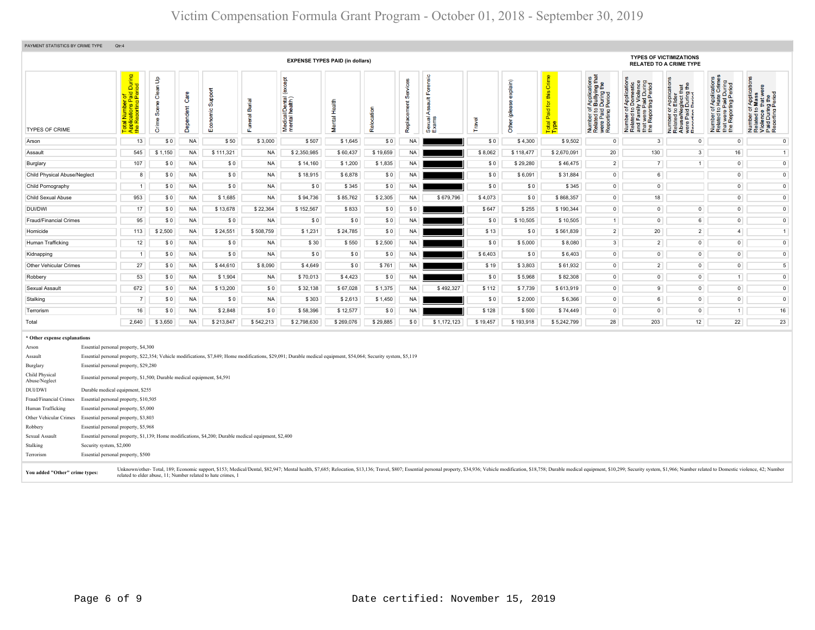| <b>EXPENSE TYPES PAID (in dollars)</b><br>except<br>Medical/Dental (<br>mental health)<br>ত<br>Health<br>ã<br>$\overline{\sigma}$<br>Mental<br>ш | nsic<br>တိ<br>ment<br>Relocation<br>⋖<br>Replace<br>Sexual.<br>Exams | explain)<br>ဧိ<br>Travel<br>Other    | this Crime<br>f Applications<br>b Bullying that<br>During the<br>Period<br>Number of Applications<br>Related to Domestic<br>and Family Violence<br>that were Paid During<br>the Reporting Period<br>Paid for<br>Number of <i>A</i><br>Related to <b>B</b><br>were Paid L<br>Reporting F | <b>TYPES OF VICTIMIZATIONS</b><br><b>RELATED TO A CRIME TYPE</b><br>of Applications<br>o Hate Crimes<br>Paid During<br>rting Period<br>ਠ<br><b>Te</b><br>f Application<br><b>Mass</b><br>Ig the<br>Period<br>员<br>TApplica<br>- Elder<br>During t<br>During t<br>Period |
|--------------------------------------------------------------------------------------------------------------------------------------------------|----------------------------------------------------------------------|--------------------------------------|-----------------------------------------------------------------------------------------------------------------------------------------------------------------------------------------------------------------------------------------------------------------------------------------|-------------------------------------------------------------------------------------------------------------------------------------------------------------------------------------------------------------------------------------------------------------------------|
|                                                                                                                                                  |                                                                      |                                      |                                                                                                                                                                                                                                                                                         |                                                                                                                                                                                                                                                                         |
|                                                                                                                                                  |                                                                      |                                      | Total<br>Type                                                                                                                                                                                                                                                                           | Number of A<br>Related to H<br>that were Pa<br>the Reportin<br>Number of /<br>Related to <b>M</b><br>Violence the Violence<br>Paid During P<br>Number of <i>I</i><br>Related to <b>I</b><br>Abuse/Neg<br>Were Paid I<br>Reporting P                                     |
| \$3,000<br>\$507                                                                                                                                 | \$0<br><b>NA</b><br>\$1,645                                          | \$0<br>\$4,300                       | \$9,502<br>$\circ$                                                                                                                                                                                                                                                                      | $\overline{3}$<br>$\circ$<br>$\circ$<br>$\mathsf 0$                                                                                                                                                                                                                     |
| <b>NA</b><br>\$2,350,985                                                                                                                         | \$60,437<br>\$19,659<br><b>NA</b>                                    | \$8,062<br>\$118,477                 | 20<br>130<br>\$2,670,091                                                                                                                                                                                                                                                                | 3 <sup>1</sup><br>16<br>1                                                                                                                                                                                                                                               |
| <b>NA</b><br>\$14,160                                                                                                                            | \$1,200<br>\$1,835<br><b>NA</b>                                      | \$0<br>\$29,280                      | \$46,475<br>$\overline{2}$                                                                                                                                                                                                                                                              | 7 <sup>1</sup><br>$\mathbf 0$<br>$\overline{0}$<br>1 <sup>1</sup>                                                                                                                                                                                                       |
| <b>NA</b><br>\$18,915                                                                                                                            | \$6,878<br>\$0<br><b>NA</b>                                          | \$0<br>\$6,091                       | \$31,884<br>$\circ$                                                                                                                                                                                                                                                                     | $\mathsf 0$<br>6<br>$\circ$                                                                                                                                                                                                                                             |
| <b>NA</b><br>\$0                                                                                                                                 | \$345<br>\$0<br>NA.                                                  | \$0<br>\$0                           | \$345<br>$\circ$                                                                                                                                                                                                                                                                        | $\mathsf 0$<br>$\circ$<br>$\circ$                                                                                                                                                                                                                                       |
| <b>NA</b><br>\$94,736                                                                                                                            | \$85,762<br>\$2,305<br><b>NA</b>                                     | \$679,796<br>\$4,073<br>\$0          | \$868,357<br>$\overline{0}$                                                                                                                                                                                                                                                             | 18<br>$\overline{0}$<br>$\circ$                                                                                                                                                                                                                                         |
| \$22,364<br>\$152,567                                                                                                                            | \$833<br>\$0<br>\$0                                                  | \$647<br>\$255                       | \$190,344<br>$\circ$                                                                                                                                                                                                                                                                    | $\overline{0}$<br>$\overline{0}$<br>$\mathbf{0}$<br>$\circ$                                                                                                                                                                                                             |
| NA<br>\$0                                                                                                                                        | \$0<br>\$0<br><b>NA</b>                                              | \$0<br>\$10,505                      | \$10,505<br>$\mathbf{1}$                                                                                                                                                                                                                                                                | $\overline{0}$<br>6<br>$\overline{0}$<br>$\mathbf{0}$                                                                                                                                                                                                                   |
| \$508,759<br>\$1,231                                                                                                                             | \$24,785<br>\$0<br><b>NA</b>                                         | \$13<br>\$0                          | $\overline{2}$<br>20<br>\$561,839                                                                                                                                                                                                                                                       | $2^{\circ}$<br>4 <sup>1</sup><br>1                                                                                                                                                                                                                                      |
| <b>NA</b><br>\$30                                                                                                                                | \$550<br>\$2,500<br>NA.                                              | \$0<br>\$5,000                       | \$8,080<br>$\mathbf{3}$                                                                                                                                                                                                                                                                 | $2^{\circ}$<br>$\overline{0}$<br>$\mathsf 0$<br>$\circ$                                                                                                                                                                                                                 |
| <b>NA</b><br>\$0                                                                                                                                 | \$0<br>\$0<br><b>NA</b>                                              | \$6,403<br>\$0                       | \$6,403<br>$\circ$                                                                                                                                                                                                                                                                      | $\overline{0}$<br>$\overline{0}$<br>$\circ$<br>$\circ$                                                                                                                                                                                                                  |
| \$8,090<br>\$4,649                                                                                                                               | \$0<br>\$761<br><b>NA</b>                                            | \$19<br>\$3,803                      | $\overline{0}$<br>\$61,932                                                                                                                                                                                                                                                              | $2^{\circ}$<br>$\overline{5}$<br>$\overline{0}$<br>$\overline{0}$                                                                                                                                                                                                       |
| <b>NA</b><br>\$70,013                                                                                                                            | \$4,423<br>\$0<br>NA                                                 | \$0<br>\$5,968                       | $\mathsf 0$<br>\$82,308                                                                                                                                                                                                                                                                 | $\overline{0}$<br>$\overline{0}$<br>$\mathbb O$<br>1 <sup>1</sup>                                                                                                                                                                                                       |
| \$0<br>\$32,138                                                                                                                                  | \$67,028<br>\$1,375<br><b>NA</b>                                     | \$492,327<br>\$112<br>\$7,739        | \$613,919<br>$\circ$                                                                                                                                                                                                                                                                    | 9 <sup>1</sup><br>$\overline{0}$<br>$\circ$<br>$\mathbf{0}$                                                                                                                                                                                                             |
| NA<br>\$303                                                                                                                                      | \$2,613<br>\$1,450<br><b>NA</b>                                      | \$0<br>\$2,000                       | \$6,366<br>$\circ$                                                                                                                                                                                                                                                                      | 6 <sup>1</sup><br>$\overline{0}$<br>$\mathbf 0$<br>$\overline{0}$                                                                                                                                                                                                       |
| \$0<br>\$58,396                                                                                                                                  | \$12,577<br>\$0<br><b>NA</b>                                         | \$128<br>\$500                       | \$74,449<br>$\circ$                                                                                                                                                                                                                                                                     | $\overline{0}$<br>$\overline{0}$<br>16<br>1                                                                                                                                                                                                                             |
|                                                                                                                                                  | \$269,076<br>\$29,885<br>\$0                                         | \$1,172,123<br>\$19,457<br>\$193,918 | 28<br>\$5,242,799<br>203                                                                                                                                                                                                                                                                | 12 <sup>7</sup><br>22<br>23                                                                                                                                                                                                                                             |
|                                                                                                                                                  | \$542,213<br>\$2,798,630                                             |                                      |                                                                                                                                                                                                                                                                                         |                                                                                                                                                                                                                                                                         |

| Arson                           |                                       | Essential personal property, \$4,300                                                                                                                                                                                                                                                                  |  |  |  |  |  |  |  |
|---------------------------------|---------------------------------------|-------------------------------------------------------------------------------------------------------------------------------------------------------------------------------------------------------------------------------------------------------------------------------------------------------|--|--|--|--|--|--|--|
| Assault                         |                                       | Essential personal property, \$22,354; Vehicle modifications, \$7,849; Home modifications, \$29,091; Durable medical equipment, \$54,064; Security system, \$5,119                                                                                                                                    |  |  |  |  |  |  |  |
| Burglary                        |                                       | Essential personal property, \$29,280                                                                                                                                                                                                                                                                 |  |  |  |  |  |  |  |
| Child Physical<br>Abuse/Neglect |                                       | Essential personal property, \$1,500; Durable medical equipment, \$4,591                                                                                                                                                                                                                              |  |  |  |  |  |  |  |
| DUI/DWI                         |                                       | Durable medical equipment, \$255                                                                                                                                                                                                                                                                      |  |  |  |  |  |  |  |
| Fraud/Financial Crimes          | Essential personal property, \$10,505 |                                                                                                                                                                                                                                                                                                       |  |  |  |  |  |  |  |
| Human Trafficking               |                                       | Essential personal property, \$5,000                                                                                                                                                                                                                                                                  |  |  |  |  |  |  |  |
| Other Vehicular Crimes          |                                       | Essential personal property, \$3,803                                                                                                                                                                                                                                                                  |  |  |  |  |  |  |  |
| Robbery                         |                                       | Essential personal property, \$5,968                                                                                                                                                                                                                                                                  |  |  |  |  |  |  |  |
| Sexual Assault                  |                                       | Essential personal property, \$1,139; Home modifications, \$4,200; Durable medical equipment, \$2,400                                                                                                                                                                                                 |  |  |  |  |  |  |  |
| Stalking                        | Security system, \$2,000              |                                                                                                                                                                                                                                                                                                       |  |  |  |  |  |  |  |
| Terrorism                       |                                       | Essential personal property, \$500                                                                                                                                                                                                                                                                    |  |  |  |  |  |  |  |
| You added "Other" crime types:  |                                       | Unknown/other-Total, 189; Economic support, \$153; Medical/Dental, \$82,947; Mental health, \$7,685; Relocation, \$13,136; Travel, \$807; Essential personal property, \$34,936; Vehicle modification, \$18,758; Durable medical equi<br>related to elder abuse, 11; Number related to hate crimes, 1 |  |  |  |  |  |  |  |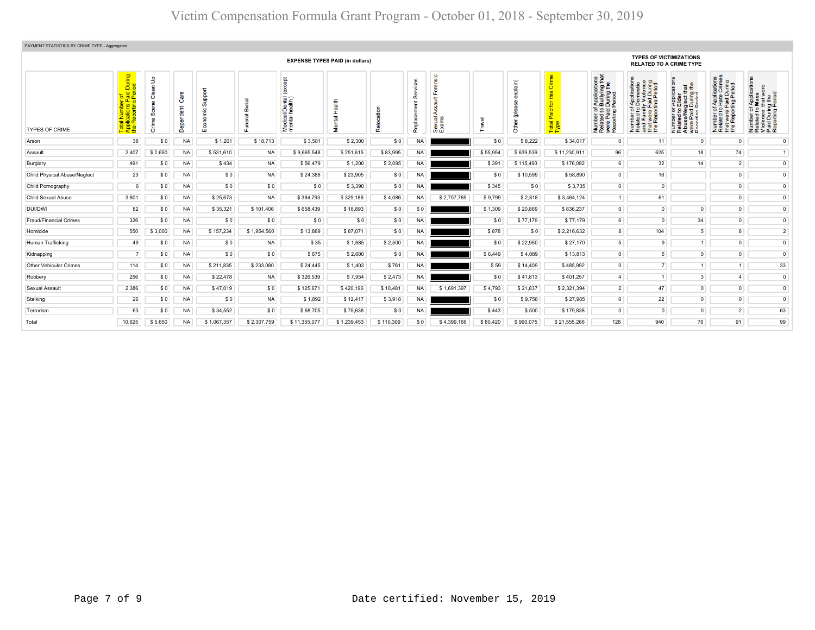| PAYMENT STATISTICS BY CRIME TYPE - Aggregated |                                                                              |                                             |           |                                   |               |                                                 |                  |                |           |                             |          |                                                                  |                                                               |                                                                                                                                 |                                                                                                                                                                                                                                       |                                                                                                                                                    |                                                                                                                  |                                                                                                     |
|-----------------------------------------------|------------------------------------------------------------------------------|---------------------------------------------|-----------|-----------------------------------|---------------|-------------------------------------------------|------------------|----------------|-----------|-----------------------------|----------|------------------------------------------------------------------|---------------------------------------------------------------|---------------------------------------------------------------------------------------------------------------------------------|---------------------------------------------------------------------------------------------------------------------------------------------------------------------------------------------------------------------------------------|----------------------------------------------------------------------------------------------------------------------------------------------------|------------------------------------------------------------------------------------------------------------------|-----------------------------------------------------------------------------------------------------|
| <b>EXPENSE TYPES PAID (in dollars)</b>        |                                                                              |                                             |           |                                   |               |                                                 |                  |                |           |                             |          | <b>TYPES OF VICTIMIZATIONS</b><br><b>RELATED TO A CRIME TYPE</b> |                                                               |                                                                                                                                 |                                                                                                                                                                                                                                       |                                                                                                                                                    |                                                                                                                  |                                                                                                     |
| <b>TYPES OF CRIME</b>                         | During<br><sub>riod</sub><br>$\overline{D}$<br>8 ల<br>∣≢ ਲ੍<br>$\frac{1}{2}$ | $\mathbf{f}$<br>듦<br>ී<br>ഗ്<br>$\Phi$<br>ŏ | ŏ<br>පී   | poo<br>$\circ$<br>E <sub>co</sub> | ঁত<br>õã<br>ū | <b>pa</b><br>Medical/Dental (<br>mental health) | Health<br>Mental | g<br>Ť<br>Relo | Replac    | <u>s</u><br>Sexual<br>Exams | Travel   | explain)<br>ē<br>Other                                           | rime<br>$\omega$<br>$\overline{\phantom{a}}$<br>Total<br>Type | f Applications<br>b Bullying that<br>Period<br>Period<br>5.2 <sub>E</sub><br>tting<br>Number<br>Related<br>were Pai<br>Reportin | Paid During<br>fting Period<br>: Application<br>Domestic<br>ly Violence<br>er of<br>ad to l<br>mber of<br>lated to<br>d Famil<br>s Report<br>$\frac{1}{2}$ $\frac{1}{2}$ $\frac{1}{2}$ $\frac{1}{2}$ $\frac{1}{2}$ $\frac{1}{2}$<br>£ | $\frac{1}{2}$<br>ication<br>Papilos<br>Elder<br>glect th<br>During<br>Pariod<br>529.70<br>Number<br>Related t<br>Abuse/N<br>were Pair<br>Reporting | ications<br>Crimes<br>Puring<br>eriod<br>Applie<br>Hate<br>ting Pe<br>59<br>Number<br>Related t<br>t were<br>E e | 员<br>Number of Applic<br>Related to Mass<br>Violence that we<br>Paid During the<br>Reporting Period |
| Arson                                         | 38                                                                           | \$0                                         | <b>NA</b> | \$1,201                           | \$18,713      | \$3,581                                         | \$2,300          | \$0            | <b>NA</b> |                             | \$0      | \$8,222                                                          | \$34,017                                                      | $\circ$                                                                                                                         | 11                                                                                                                                                                                                                                    | $\circ$                                                                                                                                            | $\overline{0}$                                                                                                   | $\mathbf{0}$                                                                                        |
| Assault                                       | 2,407                                                                        | \$2,650                                     | <b>NA</b> | \$531,610                         | <b>NA</b>     | \$9,665,548                                     | \$251,615        | \$83,995       | <b>NA</b> |                             | \$55,954 | \$639,539                                                        | \$11,230,911                                                  | 96                                                                                                                              | 625                                                                                                                                                                                                                                   | 18                                                                                                                                                 | 74                                                                                                               | 1                                                                                                   |
| Burglary                                      | 491                                                                          | \$0                                         | <b>NA</b> | \$434                             | <b>NA</b>     | \$56,479                                        | \$1,200          | \$2,095        | <b>NA</b> |                             | \$391    | \$115,493                                                        | \$176,092                                                     | 6 <sup>1</sup>                                                                                                                  | 32                                                                                                                                                                                                                                    | 14                                                                                                                                                 | 2 <sup>1</sup>                                                                                                   | $\overline{0}$                                                                                      |
| Child Physical Abuse/Neglect                  | 23                                                                           | \$0                                         | <b>NA</b> | \$0                               | <b>NA</b>     | \$24,386                                        | \$23,905         | \$0            | <b>NA</b> |                             | \$0      | \$10,599                                                         | \$58,890                                                      | $\overline{0}$                                                                                                                  | 16                                                                                                                                                                                                                                    |                                                                                                                                                    | $\overline{0}$                                                                                                   | $\mathsf 0$                                                                                         |
| Child Pornography                             | 6                                                                            | \$0                                         | <b>NA</b> | \$0                               | \$0           | \$0                                             | \$3,390          | \$0            | <b>NA</b> |                             | \$345    | \$0                                                              | \$3,735                                                       | $\overline{0}$                                                                                                                  | $\overline{0}$                                                                                                                                                                                                                        |                                                                                                                                                    | $\circ$                                                                                                          | $\mathbf{0}$                                                                                        |
| Child Sexual Abuse                            | 3,801                                                                        | \$0                                         | <b>NA</b> | \$25,673                          | <b>NA</b>     | \$384,793                                       | \$329,186        | \$4,086        | <b>NA</b> | \$2,707,769                 | \$9,799  | \$2,818                                                          | \$3,464,124                                                   | 1                                                                                                                               | 61                                                                                                                                                                                                                                    |                                                                                                                                                    | $\overline{0}$                                                                                                   | $\circ$                                                                                             |
| DUI/DWI                                       | 82                                                                           | \$0                                         | <b>NA</b> | \$35,321                          | \$101,406     | \$658,439                                       | \$18,893         | \$0            | \$0       |                             | \$1,309  | \$20,869                                                         | \$836,237                                                     | $\overline{0}$                                                                                                                  | $\overline{0}$                                                                                                                                                                                                                        | $\overline{0}$                                                                                                                                     | $\overline{0}$                                                                                                   | $\mathsf 0$                                                                                         |
| Fraud/Financial Crimes                        | 326                                                                          | \$0                                         | <b>NA</b> | \$0                               | \$0           | \$0                                             | \$0              | \$0            | <b>NA</b> |                             | \$0      | \$77,179                                                         | \$77,179                                                      | 6 <sup>1</sup>                                                                                                                  | $\overline{0}$                                                                                                                                                                                                                        | 34                                                                                                                                                 | $\overline{0}$                                                                                                   | $\mathbf{0}$                                                                                        |
| Homicide                                      | 550                                                                          | \$3,000                                     | <b>NA</b> | \$157,234                         | \$1,954,560   | \$13,889                                        | \$87,071         | \$0            | <b>NA</b> |                             | \$878    | \$0                                                              | \$2,216,632                                                   | 8                                                                                                                               | 104                                                                                                                                                                                                                                   | 5 <sup>1</sup>                                                                                                                                     | 8                                                                                                                | $\overline{2}$                                                                                      |
| Human Trafficking                             | 49                                                                           | \$0                                         | <b>NA</b> | \$0                               | <b>NA</b>     | \$35                                            | \$1,685          | \$2,500        | <b>NA</b> |                             | \$0      | \$22,950                                                         | \$27,170                                                      | 5 <sup>1</sup>                                                                                                                  | 9                                                                                                                                                                                                                                     | 1                                                                                                                                                  | $\overline{0}$                                                                                                   | $\mathbf{0}$                                                                                        |
| Kidnapping                                    | 7 <sup>1</sup>                                                               | \$0                                         | <b>NA</b> | \$0                               | \$0           | \$675                                           | \$2,600          | \$0            | <b>NA</b> |                             | \$6,449  | \$4,089                                                          | \$13,813                                                      | $\overline{0}$                                                                                                                  | 5 <sub>5</sub>                                                                                                                                                                                                                        | $\overline{0}$                                                                                                                                     | $\overline{0}$                                                                                                   | $\mathsf 0$                                                                                         |
| Other Vehicular Crimes                        | 114                                                                          | \$0                                         | <b>NA</b> | \$211,835                         | \$233,080     | \$24,445                                        | \$1,403          | \$761          | <b>NA</b> |                             | \$59     | \$14,409                                                         | \$485,992                                                     | $\overline{0}$                                                                                                                  | 7 <sup>1</sup>                                                                                                                                                                                                                        | 1                                                                                                                                                  | 1                                                                                                                | 33                                                                                                  |
| Robbery                                       | 256                                                                          | \$0                                         | <b>NA</b> | \$22,478                          | <b>NA</b>     | \$326,539                                       | \$7,954          | \$2,473        | <b>NA</b> |                             | \$0      | \$41,813                                                         | \$401,257                                                     | 4                                                                                                                               | 1                                                                                                                                                                                                                                     | 3 <sup>1</sup>                                                                                                                                     | $\overline{4}$                                                                                                   | $\mathsf 0$                                                                                         |
| Sexual Assault                                | 2,386                                                                        | \$0                                         | <b>NA</b> | \$47,019                          | \$0           | \$125,671                                       | \$420,196        | \$10,481       | <b>NA</b> | \$1,691,397                 | \$4,793  | \$21,837                                                         | \$2,321,394                                                   | $2^{\circ}$                                                                                                                     | 47                                                                                                                                                                                                                                    | $\overline{0}$                                                                                                                                     | $\overline{0}$                                                                                                   | $\mathsf 0$                                                                                         |
| Stalking                                      | 26                                                                           | \$0                                         | <b>NA</b> | \$0                               | <b>NA</b>     | \$1,892                                         | \$12,417         | \$3,918        | <b>NA</b> |                             | \$0      | \$9,758                                                          | \$27,985                                                      | $\overline{0}$                                                                                                                  | 22                                                                                                                                                                                                                                    | $\overline{0}$                                                                                                                                     | $\overline{0}$                                                                                                   | $\overline{0}$                                                                                      |
| Terrorism                                     | 63                                                                           | \$0                                         | <b>NA</b> | \$34,552                          | \$0           | \$68,705                                        | \$75,638         | SO.            | <b>NA</b> |                             | \$443    | \$500                                                            | \$179,838                                                     | $\circ$                                                                                                                         | $\overline{0}$                                                                                                                                                                                                                        | $\circ$                                                                                                                                            | 2 <sup>1</sup>                                                                                                   | 63                                                                                                  |
| Total                                         | 10,625                                                                       | \$5,650                                     | NA.       | \$1,067,357                       | \$2,307,759   | \$11,355,077                                    | \$1,239,453      | \$110,309      | \$0       | \$4,399,166                 | \$80,420 | \$990,075                                                        | \$21,555,266                                                  | 128                                                                                                                             | 940                                                                                                                                                                                                                                   | 76                                                                                                                                                 | 91                                                                                                               | 99                                                                                                  |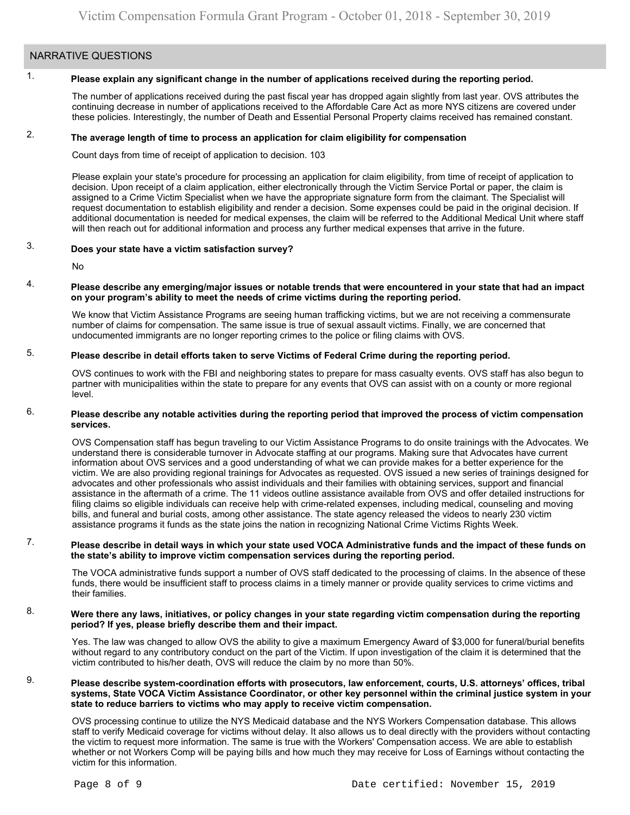### NARRATIVE QUESTIONS

#### 1. **Please explain any significant change in the number of applications received during the reporting period.**

The number of applications received during the past fiscal year has dropped again slightly from last year. OVS attributes the continuing decrease in number of applications received to the Affordable Care Act as more NYS citizens are covered under these policies. Interestingly, the number of Death and Essential Personal Property claims received has remained constant.

#### 2. **The average length of time to process an application for claim eligibility for compensation**

Count days from time of receipt of application to decision. 103

Please explain your state's procedure for processing an application for claim eligibility, from time of receipt of application to decision. Upon receipt of a claim application, either electronically through the Victim Service Portal or paper, the claim is assigned to a Crime Victim Specialist when we have the appropriate signature form from the claimant. The Specialist will request documentation to establish eligibility and render a decision. Some expenses could be paid in the original decision. If additional documentation is needed for medical expenses, the claim will be referred to the Additional Medical Unit where staff will then reach out for additional information and process any further medical expenses that arrive in the future.

#### 3. **Does your state have a victim satisfaction survey?**

No

#### 4. **Please describe any emerging/major issues or notable trends that were encountered in your state that had an impact on your program's ability to meet the needs of crime victims during the reporting period.**

We know that Victim Assistance Programs are seeing human trafficking victims, but we are not receiving a commensurate number of claims for compensation. The same issue is true of sexual assault victims. Finally, we are concerned that undocumented immigrants are no longer reporting crimes to the police or filing claims with OVS.

#### 5. **Please describe in detail efforts taken to serve Victims of Federal Crime during the reporting period.**

OVS continues to work with the FBI and neighboring states to prepare for mass casualty events. OVS staff has also begun to partner with municipalities within the state to prepare for any events that OVS can assist with on a county or more regional level.

#### 6. **Please describe any notable activities during the reporting period that improved the process of victim compensation services.**

OVS Compensation staff has begun traveling to our Victim Assistance Programs to do onsite trainings with the Advocates. We understand there is considerable turnover in Advocate staffing at our programs. Making sure that Advocates have current information about OVS services and a good understanding of what we can provide makes for a better experience for the victim. We are also providing regional trainings for Advocates as requested. OVS issued a new series of trainings designed for advocates and other professionals who assist individuals and their families with obtaining services, support and financial assistance in the aftermath of a crime. The 11 videos outline assistance available from OVS and offer detailed instructions for filing claims so eligible individuals can receive help with crime-related expenses, including medical, counseling and moving bills, and funeral and burial costs, among other assistance. The state agency released the videos to nearly 230 victim assistance programs it funds as the state joins the nation in recognizing National Crime Victims Rights Week.

#### 7. **Please describe in detail ways in which your state used VOCA Administrative funds and the impact of these funds on the state's ability to improve victim compensation services during the reporting period.**

The VOCA administrative funds support a number of OVS staff dedicated to the processing of claims. In the absence of these funds, there would be insufficient staff to process claims in a timely manner or provide quality services to crime victims and their families.

#### 8. **Were there any laws, initiatives, or policy changes in your state regarding victim compensation during the reporting period? If yes, please briefly describe them and their impact.**

Yes. The law was changed to allow OVS the ability to give a maximum Emergency Award of \$3,000 for funeral/burial benefits without regard to any contributory conduct on the part of the Victim. If upon investigation of the claim it is determined that the victim contributed to his/her death, OVS will reduce the claim by no more than 50%.

#### 9. **Please describe system-coordination efforts with prosecutors, law enforcement, courts, U.S. attorneys' offices, tribal systems, State VOCA Victim Assistance Coordinator, or other key personnel within the criminal justice system in your state to reduce barriers to victims who may apply to receive victim compensation.**

OVS processing continue to utilize the NYS Medicaid database and the NYS Workers Compensation database. This allows staff to verify Medicaid coverage for victims without delay. It also allows us to deal directly with the providers without contacting the victim to request more information. The same is true with the Workers' Compensation access. We are able to establish whether or not Workers Comp will be paying bills and how much they may receive for Loss of Earnings without contacting the victim for this information.